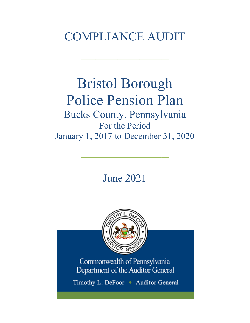# COMPLIANCE AUDIT

 $\frac{1}{2}$ 

# Bristol Borough Police Pension Plan Bucks County, Pennsylvania For the Period January 1, 2017 to December 31, 2020

June 2021

 $\frac{1}{2}$ 



Commonwealth of Pennsylvania Department of the Auditor General

Timothy L. DeFoor • Auditor General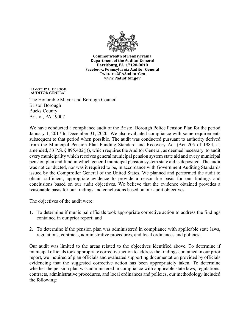

**Commonwealth of Pennsylvania** Department of the Auditor General Harrisburg, PA 17120-0018 Facebook: Pennsylvania Auditor General Twitter: @PAAuditorGen www.PaAuditor.gov

TIMOTHY L. DEFOOR **AUDITOR GENERAL** 

The Honorable Mayor and Borough Council Bristol Borough Bucks County Bristol, PA 19007

We have conducted a compliance audit of the Bristol Borough Police Pension Plan for the period January 1, 2017 to December 31, 2020. We also evaluated compliance with some requirements subsequent to that period when possible. The audit was conducted pursuant to authority derived from the Municipal Pension Plan Funding Standard and Recovery Act (Act 205 of 1984, as amended, 53 P.S. § 895.402(j)), which requires the Auditor General, as deemed necessary, to audit every municipality which receives general municipal pension system state aid and every municipal pension plan and fund in which general municipal pension system state aid is deposited. The audit was not conducted, nor was it required to be, in accordance with Government Auditing Standards issued by the Comptroller General of the United States. We planned and performed the audit to obtain sufficient, appropriate evidence to provide a reasonable basis for our findings and conclusions based on our audit objectives. We believe that the evidence obtained provides a reasonable basis for our findings and conclusions based on our audit objectives.

The objectives of the audit were:

- 1. To determine if municipal officials took appropriate corrective action to address the findings contained in our prior report; and
- 2. To determine if the pension plan was administered in compliance with applicable state laws, regulations, contracts, administrative procedures, and local ordinances and policies.

Our audit was limited to the areas related to the objectives identified above. To determine if municipal officials took appropriate corrective action to address the findings contained in our prior report, we inquired of plan officials and evaluated supporting documentation provided by officials evidencing that the suggested corrective action has been appropriately taken. To determine whether the pension plan was administered in compliance with applicable state laws, regulations, contracts, administrative procedures, and local ordinances and policies, our methodology included the following: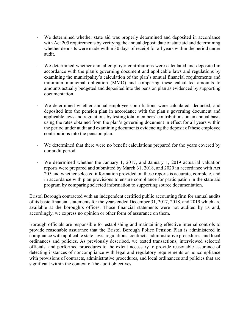- We determined whether state aid was properly determined and deposited in accordance with Act 205 requirements by verifying the annual deposit date of state aid and determining whether deposits were made within 30 days of receipt for all years within the period under audit.
- We determined whether annual employer contributions were calculated and deposited in accordance with the plan's governing document and applicable laws and regulations by examining the municipality's calculation of the plan's annual financial requirements and minimum municipal obligation (MMO) and comparing these calculated amounts to amounts actually budgeted and deposited into the pension plan as evidenced by supporting documentation.
- We determined whether annual employee contributions were calculated, deducted, and deposited into the pension plan in accordance with the plan's governing document and applicable laws and regulations by testing total members' contributions on an annual basis using the rates obtained from the plan's governing document in effect for all years within the period under audit and examining documents evidencing the deposit of these employee contributions into the pension plan.
- ⋅ We determined that there were no benefit calculations prepared for the years covered by our audit period.
- We determined whether the January 1, 2017, and January 1, 2019 actuarial valuation reports were prepared and submitted by March 31, 2018, and 2020 in accordance with Act 205 and whether selected information provided on these reports is accurate, complete, and in accordance with plan provisions to ensure compliance for participation in the state aid program by comparing selected information to supporting source documentation.

Bristol Borough contracted with an independent certified public accounting firm for annual audits of its basic financial statements for the years ended December 31, 2017, 2018, and 2019 which are available at the borough's offices. Those financial statements were not audited by us and, accordingly, we express no opinion or other form of assurance on them.

Borough officials are responsible for establishing and maintaining effective internal controls to provide reasonable assurance that the Bristol Borough Police Pension Plan is administered in compliance with applicable state laws, regulations, contracts, administrative procedures, and local ordinances and policies. As previously described, we tested transactions, interviewed selected officials, and performed procedures to the extent necessary to provide reasonable assurance of detecting instances of noncompliance with legal and regulatory requirements or noncompliance with provisions of contracts, administrative procedures, and local ordinances and policies that are significant within the context of the audit objectives.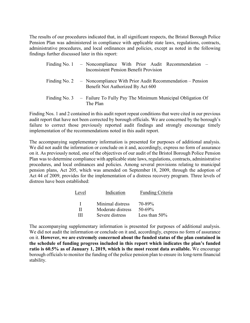The results of our procedures indicated that, in all significant respects, the Bristol Borough Police Pension Plan was administered in compliance with applicable state laws, regulations, contracts, administrative procedures, and local ordinances and policies, except as noted in the following findings further discussed later in this report:

| Finding No. 1 - Noncompliance With Prior Audit Recommendation -<br><b>Inconsistent Pension Benefit Provision</b> |
|------------------------------------------------------------------------------------------------------------------|
| Finding No. 2 - Noncompliance With Prior Audit Recommendation - Pension<br>Benefit Not Authorized By Act 600     |
| Finding No. 3 $-$ Failure To Fully Pay The Minimum Municipal Obligation Of<br>The Plan                           |

Finding Nos. 1 and 2 contained in this audit report repeat conditions that were cited in our previous audit report that have not been corrected by borough officials. We are concerned by the borough's failure to correct those previously reported audit findings and strongly encourage timely implementation of the recommendations noted in this audit report.

The accompanying supplementary information is presented for purposes of additional analysis. We did not audit the information or conclude on it and, accordingly, express no form of assurance on it. As previously noted, one of the objectives of our audit of the Bristol Borough Police Pension Plan was to determine compliance with applicable state laws, regulations, contracts, administrative procedures, and local ordinances and policies. Among several provisions relating to municipal pension plans, Act 205, which was amended on September 18, 2009, through the adoption of Act 44 of 2009, provides for the implementation of a distress recovery program. Three levels of distress have been established:

| Level | Indication        | Funding Criteria |
|-------|-------------------|------------------|
| л.    | Minimal distress  | 70-89%           |
| Н     | Moderate distress | $50 - 69\%$      |
| Ш     | Severe distress   | Less than $50\%$ |

The accompanying supplementary information is presented for purposes of additional analysis. We did not audit the information or conclude on it and, accordingly, express no form of assurance on it. **However, we are extremely concerned about the funded status of the plan contained in the schedule of funding progress included in this report which indicates the plan's funded ratio is 60.5% as of January 1, 2019, which is the most recent data available.** We encourage borough officials to monitor the funding of the police pension plan to ensure its long-term financial stability.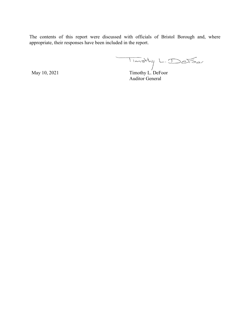The contents of this report were discussed with officials of Bristol Borough and, where appropriate, their responses have been included in the report.

May 10, 2021 Timothy L. DeFoor

Auditor General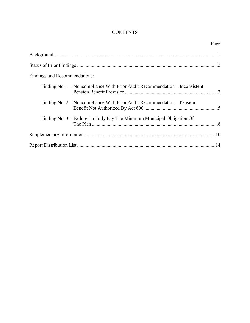# **CONTENTS**

|                                                                              | Page |
|------------------------------------------------------------------------------|------|
|                                                                              |      |
|                                                                              |      |
| Findings and Recommendations:                                                |      |
| Finding No. 1 – Noncompliance With Prior Audit Recommendation – Inconsistent |      |
| Finding No. 2 – Noncompliance With Prior Audit Recommendation – Pension      |      |
| Finding No. 3 – Failure To Fully Pay The Minimum Municipal Obligation Of     |      |
|                                                                              |      |
|                                                                              |      |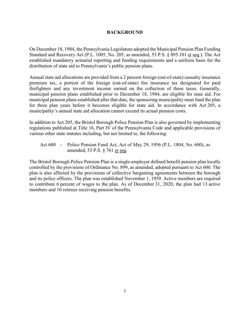#### **BACKGROUND**

On December 18, 1984, the Pennsylvania Legislature adopted the Municipal Pension Plan Funding Standard and Recovery Act (P.L. 1005, No. 205, as amended, 53 P.S. § 895.101 et seq.). The Act established mandatory actuarial reporting and funding requirements and a uniform basis for the distribution of state aid to Pennsylvania's public pension plans.

Annual state aid allocations are provided from a 2 percent foreign (out-of-state) casualty insurance premium tax, a portion of the foreign (out-of-state) fire insurance tax designated for paid firefighters and any investment income earned on the collection of these taxes. Generally, municipal pension plans established prior to December 18, 1984, are eligible for state aid. For municipal pension plans established after that date, the sponsoring municipality must fund the plan for three plan years before it becomes eligible for state aid. In accordance with Act 205, a municipality's annual state aid allocation cannot exceed its actual pension costs.

In addition to Act 205, the Bristol Borough Police Pension Plan is also governed by implementing regulations published at Title 16, Part IV of the Pennsylvania Code and applicable provisions of various other state statutes including, but not limited to, the following:

Act 600 - Police Pension Fund Act, Act of May 29, 1956 (P.L. 1804, No. 600), as amended, 53 P.S. § 761 et seq.

The Bristol Borough Police Pension Plan is a single-employer defined benefit pension plan locally controlled by the provisions of Ordinance No. 899, as amended, adopted pursuant to Act 600. The plan is also affected by the provisions of collective bargaining agreements between the borough and its police officers. The plan was established November 1, 1959. Active members are required to contribute 6 percent of wages to the plan. As of December 31, 2020, the plan had 13 active members and 10 retirees receiving pension benefits.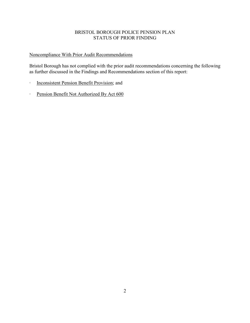## BRISTOL BOROUGH POLICE PENSION PLAN STATUS OF PRIOR FINDING

## Noncompliance With Prior Audit Recommendations

Bristol Borough has not complied with the prior audit recommendations concerning the following as further discussed in the Findings and Recommendations section of this report:

- ∙ Inconsistent Pension Benefit Provision; and
- ∙ Pension Benefit Not Authorized By Act 600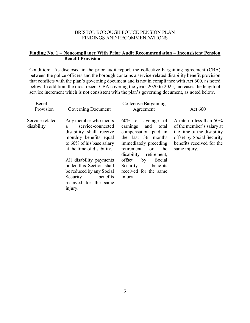## **Finding No. 1 – Noncompliance With Prior Audit Recommendation – Inconsistent Pension Benefit Provision**

Condition: As disclosed in the prior audit report, the collective bargaining agreement (CBA) between the police officers and the borough contains a service-related disability benefit provision that conflicts with the plan's governing document and is not in compliance with Act 600, as noted below. In addition, the most recent CBA covering the years 2020 to 2025, increases the length of service increment which is not consistent with the plan's governing document, as noted below.

| Benefit<br>Provision          | Governing Document                                                                                                                                                                                                                                                                                               | Collective Bargaining<br>Agreement                                                                                                                                                                                                                                               | Act $600$                                                                                                                                                       |
|-------------------------------|------------------------------------------------------------------------------------------------------------------------------------------------------------------------------------------------------------------------------------------------------------------------------------------------------------------|----------------------------------------------------------------------------------------------------------------------------------------------------------------------------------------------------------------------------------------------------------------------------------|-----------------------------------------------------------------------------------------------------------------------------------------------------------------|
| Service-related<br>disability | Any member who incurs<br>service-connected<br>a.<br>disability shall receive<br>monthly benefits equal<br>to 60% of his base salary<br>at the time of disability.<br>All disability payments<br>under this Section shall<br>be reduced by any Social<br>Security<br>benefits<br>received for the same<br>injury. | $60\%$ of average of<br>and<br>earnings<br>total<br>compensation paid in<br>the last 36 months<br>immediately preceding<br>retirement<br>the<br><sub>or</sub><br>disability<br>retirement,<br>offset<br>Social<br>by<br>benefits<br>Security<br>received for the same<br>injury. | A rate no less than $50\%$<br>of the member's salary at<br>the time of the disability<br>offset by Social Security<br>benefits received for the<br>same injury. |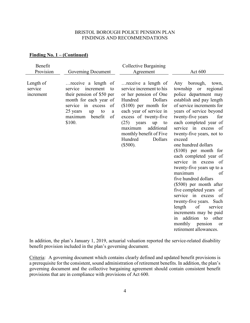## **Finding No. 1 – (Continued)**

| Benefit<br>Provision              | Governing Document                                                                                                                                                                                     | <b>Collective Bargaining</b><br>Agreement                                                                                                                                                                                                                                                         | Act 600                                                                                                                                                                                                                                                                                                                                                                                                                                                                                                                                                                                                                                                                                                        |
|-----------------------------------|--------------------------------------------------------------------------------------------------------------------------------------------------------------------------------------------------------|---------------------------------------------------------------------------------------------------------------------------------------------------------------------------------------------------------------------------------------------------------------------------------------------------|----------------------------------------------------------------------------------------------------------------------------------------------------------------------------------------------------------------------------------------------------------------------------------------------------------------------------------------------------------------------------------------------------------------------------------------------------------------------------------------------------------------------------------------------------------------------------------------------------------------------------------------------------------------------------------------------------------------|
| Length of<br>service<br>increment | receive a length of<br>service<br>increment<br>to<br>their pension of \$50 per<br>month for each year of<br>service in excess<br>of<br>25 years<br>to<br>up<br>a<br>benefit<br>of<br>maximum<br>\$100. | receive a length of<br>service increment to his<br>or her pension of One<br>Hundred<br>Dollars<br>$($100)$ per month for<br>each year of service in<br>excess of twenty-five<br>(25)<br>years<br>up<br>to<br>additional<br>maximum<br>monthly benefit of Five<br>Dollars<br>Hundred<br>$(\$500).$ | Any borough,<br>town,<br>township or<br>regional<br>police department may<br>establish and pay length<br>of service increments for<br>years of service beyond<br>twenty-five years<br>for<br>each completed year of<br>service in excess of<br>twenty-five years, not to<br>exceed<br>one hundred dollars<br>$(\$100)$ per month for<br>each completed year of<br>service in excess<br>of<br>twenty-five years up to a<br>maximum<br>of<br>five hundred dollars<br>(\$500) per month after<br>five completed years of<br>service in excess<br>of<br>twenty-five years. Such<br>length<br>of<br>service<br>increments may be paid<br>addition to other<br>in<br>monthly pension<br>or<br>retirement allowances. |

In addition, the plan's January 1, 2019, actuarial valuation reported the service-related disability benefit provision included in the plan's governing document.

Criteria: A governing document which contains clearly defined and updated benefit provisions is a prerequisite for the consistent, sound administration of retirement benefits. In addition, the plan's governing document and the collective bargaining agreement should contain consistent benefit provisions that are in compliance with provisions of Act 600.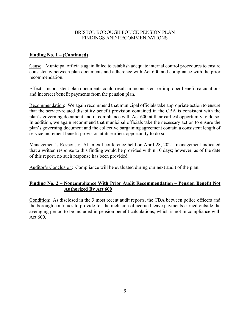## **Finding No. 1 – (Continued)**

Cause: Municipal officials again failed to establish adequate internal control procedures to ensure consistency between plan documents and adherence with Act 600 and compliance with the prior recommendation.

Effect: Inconsistent plan documents could result in inconsistent or improper benefit calculations and incorrect benefit payments from the pension plan.

Recommendation: We again recommend that municipal officials take appropriate action to ensure that the service-related disability benefit provision contained in the CBA is consistent with the plan's governing document and in compliance with Act 600 at their earliest opportunity to do so. In addition, we again recommend that municipal officials take the necessary action to ensure the plan's governing document and the collective bargaining agreement contain a consistent length of service increment benefit provision at its earliest opportunity to do so.

Management's Response: At an exit conference held on April 28, 2021, management indicated that a written response to this finding would be provided within 10 days; however, as of the date of this report, no such response has been provided.

Auditor's Conclusion: Compliance will be evaluated during our next audit of the plan.

## **Finding No. 2 – Noncompliance With Prior Audit Recommendation – Pension Benefit Not Authorized By Act 600**

Condition: As disclosed in the 3 most recent audit reports, the CBA between police officers and the borough continues to provide for the inclusion of accrued leave payments earned outside the averaging period to be included in pension benefit calculations, which is not in compliance with Act 600.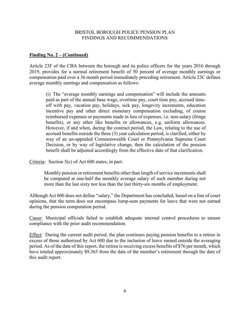#### **Finding No. 2 – (Continued)**

Article 23F of the CBA between the borough and its police officers for the years 2016 through 2019, provides for a normal retirement benefit of 50 percent of average monthly earnings or compensation paid over a 36 month period immediately preceding retirement. Article 23C defines average monthly earnings and compensation as follows:

(i) The "average monthly earnings and compensation" will include the amounts paid as part of the annual base wage, overtime pay, court time pay, accrued timeoff with pay, vacation pay, holidays, sick pay, longevity increments, education incentive pay and other direct monetary compensation excluding, of course reimbursed expenses or payments made in lieu of expenses, i.e. non-salary (fringe benefits), or any other like benefits or allowances, e.g. uniform allowances. However, if and when, during the contract period, the Law, relating to the use of accrued benefits outside the three (3) year calculation period, is clarified, either by way of an un-appealed Commonwealth Court or Pennsylvania Supreme Court Decision, or by way of legislative change, then the calculation of the pension benefit shall be adjusted accordingly from the effective date of that clarification.

Criteria: Section 5(c) of Act 600 states, in part:

Monthly pension or retirement benefits other than length of service increments shall be computed at one-half the monthly average salary of such member during not more than the last sixty nor less than the last thirty-six months of employment.

Although Act 600 does not define "salary," the Department has concluded, based on a line of court opinions, that the term does not encompass lump-sum payments for leave that were not earned during the pension computation period.

Cause: Municipal officials failed to establish adequate internal control procedures to ensure compliance with the prior audit recommendation.

Effect: During the current audit period, the plan continues paying pension benefits to a retiree in excess of those authorized by Act 600 due to the inclusion of leave earned outside the averaging period. As of the date of this report, the retiree is receiving excess benefits of \$76 per month, which have totaled approximately \$9,363 from the date of the member's retirement through the date of this audit report.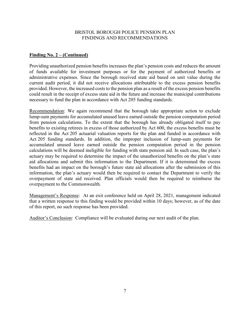#### **Finding No. 2 – (Continued)**

Providing unauthorized pension benefits increases the plan's pension costs and reduces the amount of funds available for investment purposes or for the payment of authorized benefits or administrative expenses. Since the borough received state aid based on unit value during the current audit period, it did not receive allocations attributable to the excess pension benefits provided. However, the increased costs to the pension plan as a result of the excess pension benefits could result in the receipt of excess state aid in the future and increase the municipal contributions necessary to fund the plan in accordance with Act 205 funding standards.

Recommendation: We again recommend that the borough take appropriate action to exclude lump-sum payments for accumulated unused leave earned outside the pension computation period from pension calculations. To the extent that the borough has already obligated itself to pay benefits to existing retirees in excess of those authorized by Act 600, the excess benefits must be reflected in the Act 205 actuarial valuation reports for the plan and funded in accordance with Act 205 funding standards. In addition, the improper inclusion of lump-sum payments for accumulated unused leave earned outside the pension computation period in the pension calculations will be deemed ineligible for funding with state pension aid. In such case, the plan's actuary may be required to determine the impact of the unauthorized benefits on the plan's state aid allocations and submit this information to the Department. If it is determined the excess benefits had an impact on the borough's future state aid allocations after the submission of this information, the plan's actuary would then be required to contact the Department to verify the overpayment of state aid received. Plan officials would then be required to reimburse the overpayment to the Commonwealth.

Management's Response: At an exit conference held on April 28, 2021, management indicated that a written response to this finding would be provided within 10 days; however, as of the date of this report, no such response has been provided.

Auditor's Conclusion: Compliance will be evaluated during our next audit of the plan.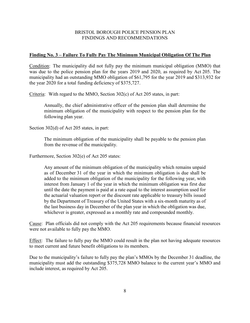#### **Finding No. 3 – Failure To Fully Pay The Minimum Municipal Obligation Of The Plan**

Condition: The municipality did not fully pay the minimum municipal obligation (MMO) that was due to the police pension plan for the years 2019 and 2020, as required by Act 205. The municipality had an outstanding MMO obligation of \$61,795 for the year 2019 and \$313,932 for the year 2020 for a total funding deficiency of \$375,727.

Criteria: With regard to the MMO, Section 302(c) of Act 205 states, in part:

Annually, the chief administrative officer of the pension plan shall determine the minimum obligation of the municipality with respect to the pension plan for the following plan year.

Section 302(d) of Act 205 states, in part:

The minimum obligation of the municipality shall be payable to the pension plan from the revenue of the municipality.

Furthermore, Section 302(e) of Act 205 states:

Any amount of the minimum obligation of the municipality which remains unpaid as of December 31 of the year in which the minimum obligation is due shall be added to the minimum obligation of the municipality for the following year, with interest from January 1 of the year in which the minimum obligation was first due until the date the payment is paid at a rate equal to the interest assumption used for the actuarial valuation report or the discount rate applicable to treasury bills issued by the Department of Treasury of the United States with a six-month maturity as of the last business day in December of the plan year in which the obligation was due, whichever is greater, expressed as a monthly rate and compounded monthly.

Cause: Plan officials did not comply with the Act 205 requirements because financial resources were not available to fully pay the MMO.

Effect: The failure to fully pay the MMO could result in the plan not having adequate resources to meet current and future benefit obligations to its members.

Due to the municipality's failure to fully pay the plan's MMOs by the December 31 deadline, the municipality must add the outstanding \$375,728 MMO balance to the current year's MMO and include interest, as required by Act 205.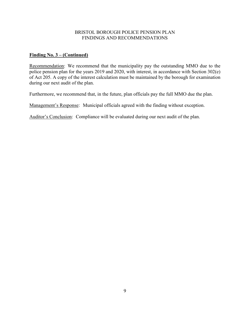## **Finding No. 3 – (Continued)**

Recommendation: We recommend that the municipality pay the outstanding MMO due to the police pension plan for the years 2019 and 2020, with interest, in accordance with Section 302(e) of Act 205. A copy of the interest calculation must be maintained by the borough for examination during our next audit of the plan.

Furthermore, we recommend that, in the future, plan officials pay the full MMO due the plan.

Management's Response: Municipal officials agreed with the finding without exception.

Auditor's Conclusion: Compliance will be evaluated during our next audit of the plan.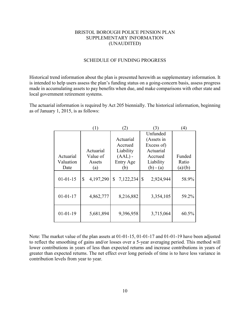#### BRISTOL BOROUGH POLICE PENSION PLAN SUPPLEMENTARY INFORMATION (UNAUDITED)

#### SCHEDULE OF FUNDING PROGRESS

Historical trend information about the plan is presented herewith as supplementary information. It is intended to help users assess the plan's funding status on a going-concern basis, assess progress made in accumulating assets to pay benefits when due, and make comparisons with other state and local government retirement systems.

The actuarial information is required by Act 205 biennially. The historical information, beginning as of January 1, 2015, is as follows:

|                | 1)              |                 | 3)                        | $\left( 4\right)$ |
|----------------|-----------------|-----------------|---------------------------|-------------------|
|                |                 |                 | Unfunded                  |                   |
|                |                 | Actuarial       | (Assets in                |                   |
|                |                 | Accrued         | Excess of)                |                   |
|                | Actuarial       | Liability       | Actuarial                 |                   |
| Actuarial      | Value of        | $(AAL)$ -       | Accrued                   | Funded            |
| Valuation      | Assets          | Entry Age       | Liability                 | Ratio             |
| Date           | (a)             | (b)             | $(b) - (a)$               | (a)/(b)           |
| $01 - 01 - 15$ | \$<br>4,197,290 | 7,122,234<br>\$ | $\mathbb{S}$<br>2,924,944 | 58.9%             |
| $01 - 01 - 17$ | 4,862,777       | 8,216,882       | 3,354,105                 | 59.2%             |
| $01 - 01 - 19$ | 5,681,894       | 9,396,958       | 3,715,064                 | 60.5%             |

Note: The market value of the plan assets at 01-01-15, 01-01-17 and 01-01-19 have been adjusted to reflect the smoothing of gains and/or losses over a 5-year averaging period. This method will lower contributions in years of less than expected returns and increase contributions in years of greater than expected returns. The net effect over long periods of time is to have less variance in contribution levels from year to year.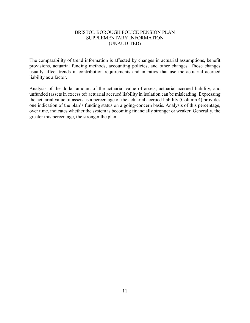#### BRISTOL BOROUGH POLICE PENSION PLAN SUPPLEMENTARY INFORMATION (UNAUDITED)

The comparability of trend information is affected by changes in actuarial assumptions, benefit provisions, actuarial funding methods, accounting policies, and other changes. Those changes usually affect trends in contribution requirements and in ratios that use the actuarial accrued liability as a factor.

Analysis of the dollar amount of the actuarial value of assets, actuarial accrued liability, and unfunded (assets in excess of) actuarial accrued liability in isolation can be misleading. Expressing the actuarial value of assets as a percentage of the actuarial accrued liability (Column 4) provides one indication of the plan's funding status on a going-concern basis. Analysis of this percentage, over time, indicates whether the system is becoming financially stronger or weaker. Generally, the greater this percentage, the stronger the plan.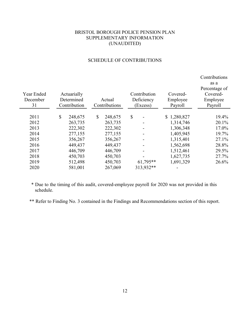## BRISTOL BOROUGH POLICE PENSION PLAN SUPPLEMENTARY INFORMATION (UNAUDITED)

|            |              |              |               |              |             | Contributions |
|------------|--------------|--------------|---------------|--------------|-------------|---------------|
|            |              |              |               |              |             | as a          |
|            |              |              |               |              |             | Percentage of |
| Year Ended |              | Actuarially  |               | Contribution | Covered-    | Covered-      |
| December   |              | Determined   | Actual        | Deficiency   | Employee    | Employee      |
| 31         |              | Contribution | Contributions | (Excess)     | Payroll     | Payroll       |
|            |              |              |               |              |             |               |
| 2011       | $\mathbb{S}$ | 248,675      | \$<br>248,675 | \$           | \$1,280,827 | 19.4%         |
| 2012       |              | 263,735      | 263,735       |              | 1,314,746   | 20.1%         |
| 2013       |              | 222,302      | 222,302       |              | 1,306,348   | 17.0%         |
| 2014       |              | 277,155      | 277,155       |              | 1,405,945   | 19.7%         |
| 2015       |              | 356,267      | 356,267       |              | 1,315,401   | 27.1%         |
| 2016       |              | 449,437      | 449,437       | ۰            | 1,562,698   | 28.8%         |
| 2017       |              | 446,709      | 446,709       |              | 1,512,461   | 29.5%         |
| 2018       |              | 450,703      | 450,703       |              | 1,627,735   | 27.7%         |
| 2019       |              | 512,498      | 450,703       | $61,795**$   | 1,691,329   | 26.6%         |
| 2020       |              | 581,001      | 267,069       | 313,932**    |             |               |

## SCHEDULE OF CONTRIBUTIONS

\* Due to the timing of this audit, covered-employee payroll for 2020 was not provided in this schedule.

\*\* Refer to Finding No. 3 contained in the Findings and Recommendations section of this report.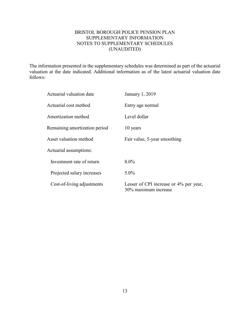## BRISTOL BOROUGH POLICE PENSION PLAN SUPPLEMENTARY INFORMATION NOTES TO SUPPLEMENTARY SCHEDULES (UNAUDITED)

The information presented in the supplementary schedules was determined as part of the actuarial valuation at the date indicated. Additional information as of the latest actuarial valuation date follows:

| Actuarial valuation date      | January 1, 2019                                                |  |  |
|-------------------------------|----------------------------------------------------------------|--|--|
| Actuarial cost method         | Entry age normal                                               |  |  |
| Amortization method           | Level dollar                                                   |  |  |
| Remaining amortization period | 10 years                                                       |  |  |
| Asset valuation method        | Fair value, 5-year smoothing                                   |  |  |
| Actuarial assumptions:        |                                                                |  |  |
| Investment rate of return     | $8.0\%$                                                        |  |  |
| Projected salary increases    | $5.0\%$                                                        |  |  |
| Cost-of-living adjustments    | Lesser of CPI increase or 4% per year,<br>30% maximum increase |  |  |